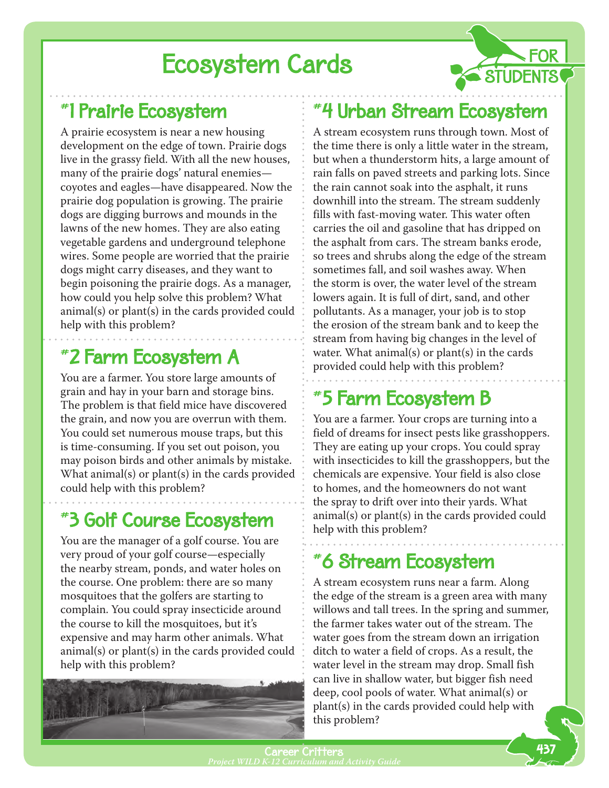# **Ecosystem Cards**

## #1 Prairie Ecosystem

A prairie ecosystem is near a new housing development on the edge of town. Prairie dogs live in the grassy field. With all the new houses, many of the prairie dogs' natural enemies coyotes and eagles—have disappeared. Now the prairie dog population is growing. The prairie dogs are digging burrows and mounds in the lawns of the new homes. They are also eating vegetable gardens and underground telephone wires. Some people are worried that the prairie dogs might carry diseases, and they want to begin poisoning the prairie dogs. As a manager, how could you help solve this problem? What animal(s) or plant(s) in the cards provided could help with this problem?

## #2 Farm Ecosystem A

You are a farmer. You store large amounts of grain and hay in your barn and storage bins. The problem is that field mice have discovered the grain, and now you are overrun with them. You could set numerous mouse traps, but this is time-consuming. If you set out poison, you may poison birds and other animals by mistake. What animal(s) or plant(s) in the cards provided could help with this problem?

## #3 Golf Course Ecosystem

You are the manager of a golf course. You are very proud of your golf course—especially the nearby stream, ponds, and water holes on the course. One problem: there are so many mosquitoes that the golfers are starting to complain. You could spray insecticide around the course to kill the mosquitoes, but it's expensive and may harm other animals. What animal(s) or plant(s) in the cards provided could help with this problem?



### #4 Urban Stream Ecosystem

**FOR** 

A stream ecosystem runs through town. Most of the time there is only a little water in the stream, but when a thunderstorm hits, a large amount of rain falls on paved streets and parking lots. Since the rain cannot soak into the asphalt, it runs downhill into the stream. The stream suddenly fills with fast-moving water. This water often carries the oil and gasoline that has dripped on the asphalt from cars. The stream banks erode, so trees and shrubs along the edge of the stream sometimes fall, and soil washes away. When the storm is over, the water level of the stream lowers again. It is full of dirt, sand, and other pollutants. As a manager, your job is to stop the erosion of the stream bank and to keep the stream from having big changes in the level of water. What animal(s) or  $plant(s)$  in the cards provided could help with this problem?

### #5 Farm Ecosystem B

You are a farmer. Your crops are turning into a field of dreams for insect pests like grasshoppers. They are eating up your crops. You could spray with insecticides to kill the grasshoppers, but the chemicals are expensive. Your field is also close to homes, and the homeowners do not want the spray to drift over into their yards. What animal(s) or plant(s) in the cards provided could help with this problem?

### #6 Stream Ecosystem

A stream ecosystem runs near a farm. Along the edge of the stream is a green area with many willows and tall trees. In the spring and summer, the farmer takes water out of the stream. The water goes from the stream down an irrigation ditch to water a field of crops. As a result, the water level in the stream may drop. Small fish can live in shallow water, but bigger fish need deep, cool pools of water. What animal(s) or plant(s) in the cards provided could help with this problem?